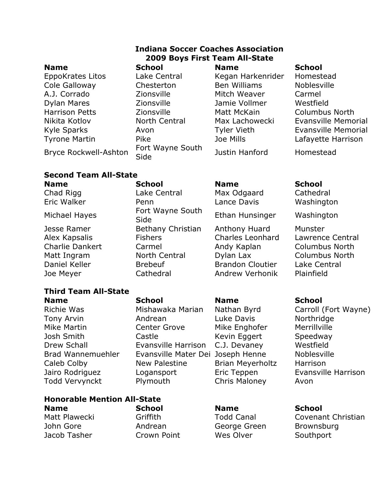EppoKrates Litos Lake Central Kegan Harkenrider Homestead Cole Galloway Chesterton Ben Williams Noblesville A.J. Corrado Zionsville Mitch Weaver Carmel Dylan Mares Zionsville Jamie Vollmer Westfield Harrison Petts **Zionsville** Matt McKain Columbus North Tyrone Martin **Rike** Pike Mills Doe Mills Lafayette Harrison

### **Indiana Soccer Coaches Association 2009 Boys First Team All-State Name School Name School**

Bryce Rockwell-Ashton Fort Wayne South

Justin Hanford Homestead

Nikita Kotlov North Central Max Lachowecki Evansville Memorial Kyle Sparks **Avon** Avon Tyler Vieth Evansville Memorial

## **Second Team All-State**

Chad Rigg Lake Central Max Odgaard Cathedral

Michael Hayes<br>Side<br>Side

Jesse Ramer Bethany Christian Anthony Huard Munster Daniel Keller **Brebeuf** Brandon Cloutier Lake Central Joe Meyer Cathedral Andrew Verhonik Plainfield

## **Third Team All-State**

**Name School Name School** Tony Arvin Andrean Luke Davis Northridge Mike Martin **Center Grove** Mike Enghofer Merrillville Josh Smith Castle Castle Kevin Eggert Speedway Drew Schall **Evansville Harrison** C.J. Devaney Westfield Brad Wannemuehler Evansville Mater Dei Joseph Henne Noblesville Caleb Colby **New Palestine** Brian Meyerholtz Harrison Jairo Rodriguez Logansport Eric Teppen Evansville Harrison Todd Vervynckt Plymouth Chris Maloney Avon

### **Honorable Mention All-State Name School Name School**

John Gore Andrean George Green Brownsburg Jacob Tasher **Crown Point** Wes Olver Southport

### **Name School Name School**

Eric Walker Penn Lance Davis Washington

Ethan Hunsinger Washington

Alex Kapsalis Fishers Charles Leonhard Lawrence Central Charlie Dankert Carmel Andy Kaplan Columbus North Matt Ingram North Central Dylan Lax Columbus North

Richie Was **Mishawaka Marian** Nathan Byrd Carroll (Fort Wayne)

Matt Plawecki Griffith Todd Canal Covenant Christian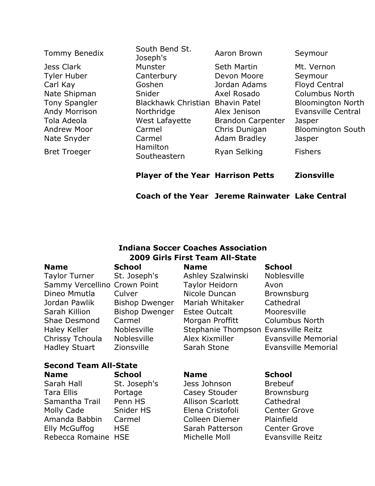|                      | <b>Player of the Year Harrison Petts</b> |                          | <b>Zionsville</b>        |
|----------------------|------------------------------------------|--------------------------|--------------------------|
| <b>Bret Troeger</b>  | Southeastern                             | Ryan Selking             | <b>Fishers</b>           |
| Nate Snyder          | Carmel<br>Hamilton                       | <b>Adam Bradley</b>      | Jasper                   |
| <b>Andrew Moor</b>   | Carmel                                   | Chris Dunigan            | <b>Bloomington South</b> |
| Tola Adeola          | West Lafayette                           | <b>Brandon Carpenter</b> | Jasper                   |
| Andy Morrison        | Northridge                               | Alex Jenison             | Evansville Central       |
| <b>Tony Spangler</b> | Blackhawk Christian                      | <b>Bhavin Patel</b>      | <b>Bloomington North</b> |
| Nate Shipman         | Snider                                   | Axel Rosado              | <b>Columbus North</b>    |
| Carl Kay             | Goshen                                   | Jordan Adams             | <b>Floyd Central</b>     |
| <b>Tyler Huber</b>   | Canterbury                               | Devon Moore              | Seymour                  |
| Jess Clark           | Munster                                  | <b>Seth Martin</b>       | Mt. Vernon               |
| Tommy Benedix        | South Bend St.<br>Joseph's               | Aaron Brown              | Seymour                  |

**Coach of the Year Jereme Rainwater Lake Central**

# **Indiana Soccer Coaches Association 2009 Girls First Team All-State**

| <b>Name</b>                  | <b>School</b>         | <b>Name</b>                         | <b>School</b>              |  |  |  |
|------------------------------|-----------------------|-------------------------------------|----------------------------|--|--|--|
| <b>Taylor Turner</b>         | St. Joseph's          | Ashley Szalwinski                   | Noblesville                |  |  |  |
| Sammy Vercellino Crown Point |                       | <b>Taylor Heidorn</b>               | Avon                       |  |  |  |
| Dineo Mmutla                 | Culver                | Nicole Duncan                       | <b>Brownsburg</b>          |  |  |  |
| Jordan Pawlik                | <b>Bishop Dwenger</b> | Mariah Whitaker                     | Cathedral                  |  |  |  |
| Sarah Killion                | <b>Bishop Dwenger</b> | <b>Estee Outcalt</b>                | Mooresville                |  |  |  |
| Shae Desmond                 | Carmel                | Morgan Proffitt                     | <b>Columbus North</b>      |  |  |  |
| Haley Keller                 | Noblesville           | Stephanie Thompson Evansville Reitz |                            |  |  |  |
| Chrissy Tchoula              | <b>Noblesville</b>    | Alex Kixmiller                      | <b>Evansville Memorial</b> |  |  |  |
| <b>Hadley Stuart</b>         | <b>Zionsville</b>     | Sarah Stone                         | Evansville Memorial        |  |  |  |
| <b>Second Team All-State</b> |                       |                                     |                            |  |  |  |
| <b>Name</b>                  | <b>School</b>         | <b>Name</b>                         | <b>School</b>              |  |  |  |
| Sarah Hall                   | St. Joseph's          | Jess Johnson                        | <b>Brebeuf</b>             |  |  |  |
| Tara Ellis                   | Portage               | Casey Stouder                       | Brownsburg                 |  |  |  |
| Samantha Trail               | Penn HS               | <b>Allison Scarlott</b>             | Cathedral                  |  |  |  |
| Molly Cade                   | Snider HS             | Elena Cristofoli                    | <b>Center Grove</b>        |  |  |  |
| Amanda Babbin                | Carmel                | Colleen Diemer                      | Plainfield                 |  |  |  |
| Elly McGuffog                | <b>HSE</b>            | Sarah Patterson                     | <b>Center Grove</b>        |  |  |  |
| Rebecca Romaine              | <b>HSE</b>            | Michelle Moll                       | <b>Evansville Reitz</b>    |  |  |  |